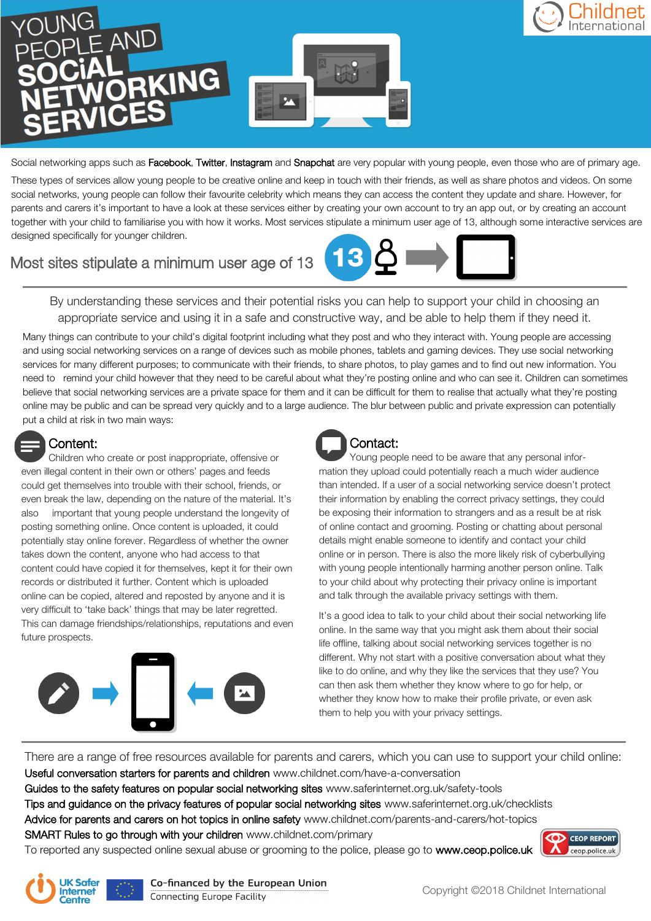

Social networking apps such as Facebook, Twitter, Instagram and Snapchat are very popular with young people, even those who are of primary age.

These types of services allow young people to be creative online and keep in touch with their friends, as well as share photos and videos. On some social networks, young people can follow their favourite celebrity which means they can access the content they update and share. However, for parents and carers it's important to have a look at these services either by creating your own account to try an app out, or by creating an account together with your child to familiarise you with how it works. Most services stipulate a minimum user age of 13, although some interactive services are designed specifically for younger children.

# Most sites stipulate a minimum user age of 13



By understanding these services and their potential risks you can help to support your child in choosing an appropriate service and using it in a safe and constructive way, and be able to help them if they need it.

Many things can contribute to your child's digital footprint including what they post and who they interact with. Young people are accessing and using social networking services on a range of devices such as mobile phones, tablets and gaming devices. They use social networking services for many different purposes; to communicate with their friends, to share photos, to play games and to find out new information. You need to remind your child however that they need to be careful about what they're posting online and who can see it. Children can sometimes believe that social networking services are a private space for them and it can be difficult for them to realise that actually what they're posting online may be public and can be spread very quickly and to a large audience. The blur between public and private expression can potentially put a child at risk in two main ways:

# Content:

Children who create or post inappropriate, offensive or even illegal content in their own or others' pages and feeds could get themselves into trouble with their school, friends, or even break the law, depending on the nature of the material. It's also important that young people understand the longevity of posting something online. Once content is uploaded, it could potentially stay online forever. Regardless of whether the owner takes down the content, anyone who had access to that content could have copied it for themselves, kept it for their own records or distributed it further. Content which is uploaded online can be copied, altered and reposted by anyone and it is very difficult to 'take back' things that may be later regretted. This can damage friendships/relationships, reputations and even future prospects.



# Contact:

Young people need to be aware that any personal information they upload could potentially reach a much wider audience than intended. If a user of a social networking service doesn't protect their information by enabling the correct privacy settings, they could be exposing their information to strangers and as a result be at risk of online contact and grooming. Posting or chatting about personal details might enable someone to identify and contact your child online or in person. There is also the more likely risk of cyberbullying with young people intentionally harming another person online. Talk to your child about why protecting their privacy online is important and talk through the available privacy settings with them.

It's a good idea to talk to your child about their social networking life online. In the same way that you might ask them about their social life offline, talking about social networking services together is no different. Why not start with a positive conversation about what they like to do online, and why they like the services that they use? You can then ask them whether they know where to go for help, or whether they know how to make their profile private, or even ask them to help you with your privacy settings.

There are a range of free resources available for parents and carers, which you can use to support your child online: Useful conversation starters for parents and children www.childnet.com/have-a-conversation

Guides to the safety features on popular social networking sites www.saferinternet.org.uk/safety-tools

Tips and guidance on the privacy features of popular social networking sites www.saferinternet.org.uk/checklists

Advice for parents and carers on hot topics in online safety www.childnet.com/parents-and-carers/hot-topics

SMART Rules to go through with your children www.childnet.com/primary

To reported any suspected online sexual abuse or grooming to the police, please go to www.ceop.police.uk